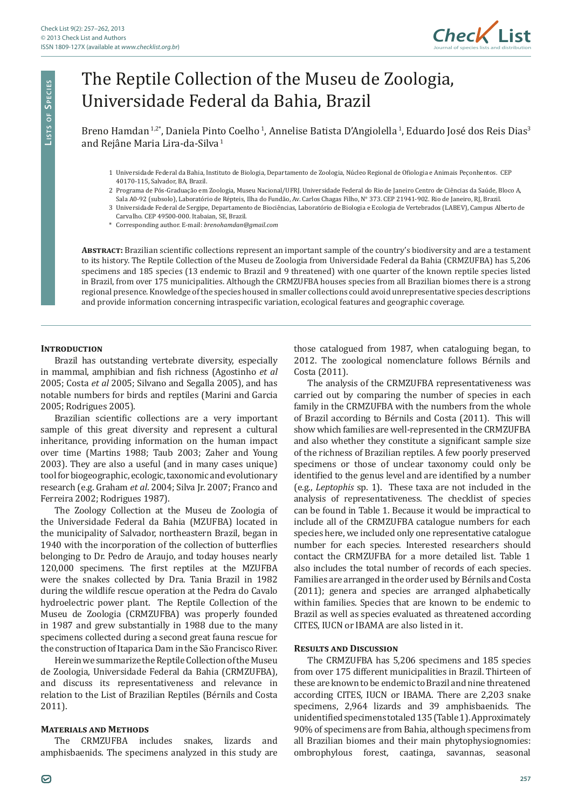

# The Reptile Collection of the Museu de Zoologia, Universidade Federal da Bahia, Brazil

Breno Hamdan<sup>1,2\*</sup>, Daniela Pinto Coelho<sup>1</sup>, Annelise Batista D'Angiolella<sup>1</sup>, Eduardo José dos Reis Dias<sup>3</sup> and Rejâne Maria Lira-da-Silva<sup>1</sup>

- 1 Universidade Federal da Bahia, Instituto de Biologia, Departamento de Zoologia, Núcleo Regional de Ofiologia e Animais Peçonhentos. CEP 40170-115, Salvador, BA, Brazil.
- 2 Programa de Pós-Graduação em Zoologia, Museu Nacional/UFRJ. Universidade Federal do Rio de Janeiro Centro de Ciências da Saúde, Bloco A, Sala A0-92 (subsolo), Laboratório de Répteis, Ilha do Fundão, Av. Carlos Chagas Filho, N° 373. CEP 21941-902. Rio de Janeiro, RJ, Brazil.
- 3 Universidade Federal de Sergipe, Departamento de Biociências, Laboratório de Biologia e Ecologia de Vertebrados (LABEV), Campus Alberto de Carvalho. CEP 49500-000. Itabaian, SE, Brazil.
- \* Corresponding author. E-mail: *brenohamdan@gmail.com*

**Abstract:** Brazilian scientific collections represent an important sample of the country's biodiversity and are a testament to its history. The Reptile Collection of the Museu de Zoologia from Universidade Federal da Bahia (CRMZUFBA) has 5,206 specimens and 185 species (13 endemic to Brazil and 9 threatened) with one quarter of the known reptile species listed in Brazil, from over 175 municipalities. Although the CRMZUFBA houses species from all Brazilian biomes there is a strong regional presence. Knowledge of the species housed in smaller collections could avoid unrepresentative species descriptions and provide information concerning intraspecific variation, ecological features and geographic coverage.

#### **INTRODUCTION**

Brazil has outstanding vertebrate diversity, especially in mammal, amphibian and fish richness (Agostinho *et al*  2005; Costa *et al* 2005; Silvano and Segalla 2005), and has notable numbers for birds and reptiles (Marini and Garcia 2005; Rodrigues 2005).

Brazilian scientific collections are a very important sample of this great diversity and represent a cultural inheritance, providing information on the human impact over time (Martins 1988; Taub 2003; Zaher and Young 2003). They are also a useful (and in many cases unique) tool for biogeographic, ecologic, taxonomic and evolutionary research (e.g. Graham *et al*. 2004; Silva Jr. 2007; Franco and Ferreira 2002; Rodrigues 1987).

The Zoology Collection at the Museu de Zoologia of the Universidade Federal da Bahia (MZUFBA) located in the municipality of Salvador, northeastern Brazil, began in 1940 with the incorporation of the collection of butterflies belonging to Dr. Pedro de Araujo, and today houses nearly 120,000 specimens. The first reptiles at the MZUFBA were the snakes collected by Dra. Tania Brazil in 1982 during the wildlife rescue operation at the Pedra do Cavalo hydroelectric power plant. The Reptile Collection of the Museu de Zoologia (CRMZUFBA) was properly founded in 1987 and grew substantially in 1988 due to the many specimens collected during a second great fauna rescue for the construction of Itaparica Dam in the São Francisco River.

Herein we summarize the Reptile Collection of the Museu de Zoologia, Universidade Federal da Bahia (CRMZUFBA), and discuss its representativeness and relevance in relation to the List of Brazilian Reptiles (Bérnils and Costa 2011).

# **Materials and Methods**

The CRMZUFBA includes snakes, lizards and amphisbaenids. The specimens analyzed in this study are those catalogued from 1987, when cataloguing began, to 2012. The zoological nomenclature follows Bérnils and Costa (2011).

The analysis of the CRMZUFBA representativeness was carried out by comparing the number of species in each family in the CRMZUFBA with the numbers from the whole of Brazil according to Bérnils and Costa (2011). This will show which families are well-represented in the CRMZUFBA and also whether they constitute a significant sample size of the richness of Brazilian reptiles. A few poorly preserved specimens or those of unclear taxonomy could only be identified to the genus level and are identified by a number (e.g., *Leptophis* sp. 1). These taxa are not included in the analysis of representativeness. The checklist of species can be found in Table 1. Because it would be impractical to include all of the CRMZUFBA catalogue numbers for each species here, we included only one representative catalogue number for each species. Interested researchers should contact the CRMZUFBA for a more detailed list. Table 1 also includes the total number of records of each species. Families are arranged in the order used by Bérnils and Costa (2011); genera and species are arranged alphabetically within families. Species that are known to be endemic to Brazil as well as species evaluated as threatened according CITES, IUCN or IBAMA are also listed in it.

#### **Results and Discussion**

The CRMZUFBA has 5,206 specimens and 185 species from over 175 different municipalities in Brazil. Thirteen of these are known to be endemic to Brazil and nine threatened according CITES, IUCN or IBAMA. There are 2,203 snake specimens, 2,964 lizards and 39 amphisbaenids. The unidentified specimens totaled 135 (Table 1). Approximately 90% of specimens are from Bahia, although specimens from all Brazilian biomes and their main phytophysiognomies: ombrophylous forest, caatinga, savannas, seasonal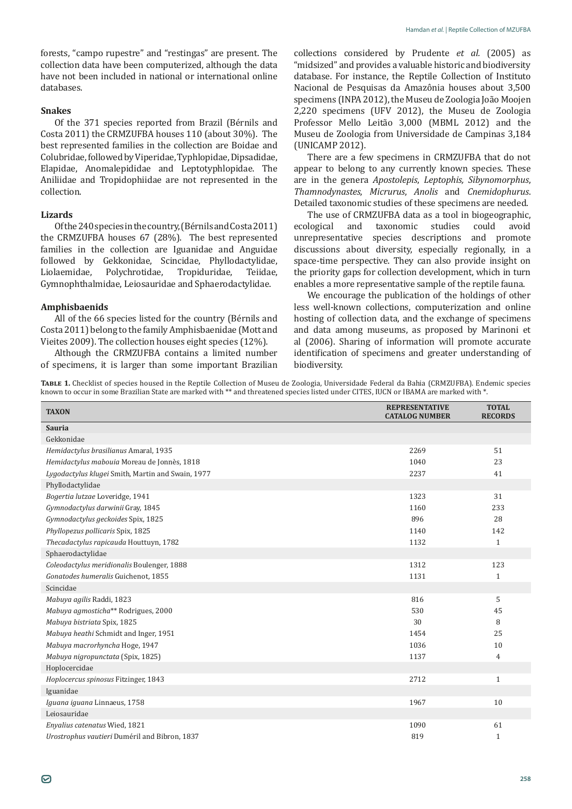forests, "campo rupestre" and "restingas" are present. The collection data have been computerized, although the data have not been included in national or international online databases.

#### **Snakes**

Of the 371 species reported from Brazil (Bérnils and Costa 2011) the CRMZUFBA houses 110 (about 30%). The best represented families in the collection are Boidae and Colubridae, followed by Viperidae, Typhlopidae, Dipsadidae, Elapidae, Anomalepididae and Leptotyphlopidae. The Aniliidae and Tropidophiidae are not represented in the collection.

# **Lizards**

Of the 240 species in the country, (Bérnils and Costa 2011) the CRMZUFBA houses 67 (28%). The best represented families in the collection are Iguanidae and Anguidae followed by Gekkonidae, Scincidae, Phyllodactylidae, Polychrotidae, Gymnophthalmidae, Leiosauridae and Sphaerodactylidae.

# **Amphisbaenids**

All of the 66 species listed for the country (Bérnils and Costa 2011) belong to the family Amphisbaenidae (Mott and Vieites 2009). The collection houses eight species (12%).

Although the CRMZUFBA contains a limited number of specimens, it is larger than some important Brazilian

collections considered by Prudente *et al.* (2005) as "midsized" and provides a valuable historic and biodiversity database. For instance, the Reptile Collection of Instituto Nacional de Pesquisas da Amazônia houses about 3,500 specimens (INPA 2012), the Museu de Zoologia João Moojen 2,220 specimens (UFV 2012), the Museu de Zoologia Professor Mello Leitão 3,000 (MBML 2012) and the Museu de Zoologia from Universidade de Campinas 3,184 (UNICAMP 2012).

There are a few specimens in CRMZUFBA that do not appear to belong to any currently known species. These are in the genera *Apostolepis*, *Leptophis, Sibynomorphus*, *Thamnodynastes*, *Micrurus*, *Anolis* and *Cnemidophurus*. Detailed taxonomic studies of these specimens are needed.

The use of CRMZUFBA data as a tool in biogeographic,<br>ecological and taxonomic studies could avoid taxonomic unrepresentative species descriptions and promote discussions about diversity, especially regionally, in a space-time perspective. They can also provide insight on the priority gaps for collection development, which in turn enables a more representative sample of the reptile fauna.

We encourage the publication of the holdings of other less well-known collections, computerization and online hosting of collection data, and the exchange of specimens and data among museums, as proposed by Marinoni et al (2006). Sharing of information will promote accurate identification of specimens and greater understanding of biodiversity.

**Table 1.** Checklist of species housed in the Reptile Collection of Museu de Zoologia, Universidade Federal da Bahia (CRMZUFBA). Endemic species known to occur in some Brazilian State are marked with \*\* and threatened species listed under CITES, IUCN or IBAMA are marked with \*.

| <b>TAXON</b>                                      | <b>REPRESENTATIVE</b><br><b>CATALOG NUMBER</b> | <b>TOTAL</b><br><b>RECORDS</b> |
|---------------------------------------------------|------------------------------------------------|--------------------------------|
| <b>Sauria</b>                                     |                                                |                                |
| Gekkonidae                                        |                                                |                                |
| Hemidactylus brasilianus Amaral, 1935             | 2269                                           | 51                             |
| Hemidactylus mabouia Moreau de Jonnès, 1818       | 1040                                           | 23                             |
| Lygodactylus klugei Smith, Martin and Swain, 1977 | 2237                                           | 41                             |
| Phyllodactylidae                                  |                                                |                                |
| Bogertia lutzae Loveridge, 1941                   | 1323                                           | 31                             |
| Gymnodactylus darwinii Gray, 1845                 | 1160                                           | 233                            |
| Gymnodactylus geckoides Spix, 1825                | 896                                            | 28                             |
| Phyllopezus pollicaris Spix, 1825                 | 1140                                           | 142                            |
| Thecadactylus rapicauda Houttuyn, 1782            | 1132                                           | $\mathbf{1}$                   |
| Sphaerodactylidae                                 |                                                |                                |
| Coleodactylus meridionalis Boulenger, 1888        | 1312                                           | 123                            |
| Gonatodes humeralis Guichenot, 1855               | 1131                                           | 1                              |
| Scincidae                                         |                                                |                                |
| Mabuya agilis Raddi, 1823                         | 816                                            | 5                              |
| Mabuya agmosticha** Rodrigues, 2000               | 530                                            | 45                             |
| Mabuya bistriata Spix, 1825                       | 30                                             | 8                              |
| Mabuya heathi Schmidt and Inger, 1951             | 1454                                           | 25                             |
| Mabuya macrorhyncha Hoge, 1947                    | 1036                                           | 10                             |
| Mabuya nigropunctata (Spix, 1825)                 | 1137                                           | 4                              |
| Hoplocercidae                                     |                                                |                                |
| Hoplocercus spinosus Fitzinger, 1843              | 2712                                           | $\mathbf{1}$                   |
| Iguanidae                                         |                                                |                                |
| Iguana iguana Linnaeus, 1758                      | 1967                                           | 10                             |
| Leiosauridae                                      |                                                |                                |
| Enyalius catenatus Wied, 1821                     | 1090                                           | 61                             |
| Urostrophus vautieri Duméril and Bibron, 1837     | 819                                            | $\mathbf{1}$                   |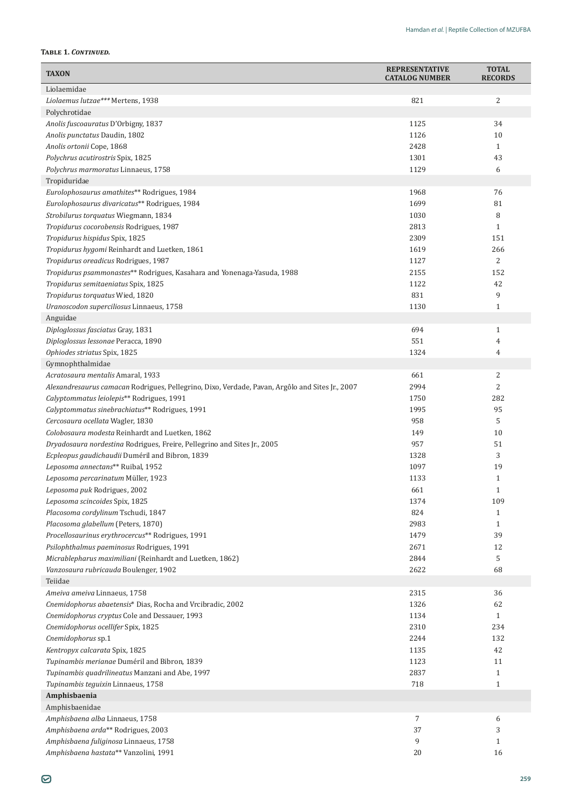# **Table 1.** *Continued.*

| <b>TAXON</b>                                                                                    | <b>REPRESENTATIVE</b><br><b>CATALOG NUMBER</b> | <b>TOTAL</b><br><b>RECORDS</b> |
|-------------------------------------------------------------------------------------------------|------------------------------------------------|--------------------------------|
| Liolaemidae                                                                                     |                                                |                                |
| Liolaemus lutzae*** Mertens, 1938                                                               | 821                                            | 2                              |
| Polychrotidae                                                                                   |                                                |                                |
| Anolis fuscoauratus D'Orbigny, 1837                                                             | 1125                                           | 34                             |
| Anolis punctatus Daudin, 1802                                                                   | 1126                                           | 10                             |
| Anolis ortonii Cope, 1868                                                                       | 2428                                           | $\mathbf{1}$                   |
| Polychrus acutirostris Spix, 1825                                                               | 1301                                           | 43                             |
| Polychrus marmoratus Linnaeus, 1758                                                             | 1129                                           | 6                              |
| Tropiduridae                                                                                    |                                                |                                |
| Eurolophosaurus amathites** Rodrigues, 1984                                                     | 1968                                           | 76                             |
| Eurolophosaurus divaricatus** Rodrigues, 1984                                                   | 1699                                           | 81                             |
| Strobilurus torquatus Wiegmann, 1834                                                            | 1030                                           | 8                              |
| Tropidurus cocorobensis Rodrigues, 1987                                                         | 2813                                           | $\mathbf{1}$                   |
| Tropidurus hispidus Spix, 1825                                                                  | 2309                                           | 151                            |
| Tropidurus hygomi Reinhardt and Luetken, 1861                                                   | 1619                                           | 266                            |
| Tropidurus oreadicus Rodrigues, 1987                                                            | 1127                                           | $\overline{2}$                 |
| Tropidurus psammonastes** Rodrigues, Kasahara and Yonenaga-Yasuda, 1988                         | 2155                                           | 152                            |
| Tropidurus semitaeniatus Spix, 1825                                                             | 1122                                           | 42                             |
| Tropidurus torquatus Wied, 1820                                                                 | 831                                            | 9                              |
| Uranoscodon superciliosus Linnaeus, 1758                                                        | 1130                                           | $\mathbf{1}$                   |
| Anguidae                                                                                        |                                                |                                |
| Diploglossus fasciatus Gray, 1831                                                               | 694                                            | $\mathbf{1}$                   |
| Diploglossus lessonae Peracca, 1890                                                             | 551                                            | 4                              |
| Ophiodes striatus Spix, 1825                                                                    | 1324                                           | 4                              |
| Gymnophthalmidae                                                                                |                                                |                                |
| Acratosaura mentalis Amaral, 1933                                                               | 661                                            | 2                              |
| Alexandresaurus camacan Rodrigues, Pellegrino, Dixo, Verdade, Pavan, Argôlo and Sites Jr., 2007 | 2994                                           | $\overline{2}$                 |
| Calyptommatus leiolepis** Rodrigues, 1991                                                       | 1750                                           | 282                            |
| Calyptommatus sinebrachiatus** Rodrigues, 1991                                                  | 1995<br>958                                    | 95                             |
| Cercosaura ocellata Wagler, 1830<br>Colobosaura modesta Reinhardt and Luetken, 1862             | 149                                            | 5<br>10                        |
| Dryadosaura nordestina Rodrigues, Freire, Pellegrino and Sites Jr., 2005                        | 957                                            | 51                             |
| Ecpleopus gaudichaudii Duméril and Bibron, 1839                                                 | 1328                                           | 3                              |
| Leposoma annectans** Ruibal, 1952                                                               | 1097                                           | 19                             |
| Leposoma percarinatum Müller, 1923                                                              | 1133                                           | 1                              |
| Leposoma puk Rodrigues, 2002                                                                    | 661                                            | 1                              |
| Leposoma scincoides Spix, 1825                                                                  | 1374                                           | 109                            |
| Placosoma cordylinum Tschudi, 1847                                                              | 824                                            | 1                              |
| Placosoma glabellum (Peters, 1870)                                                              | 2983                                           | 1                              |
| Procellosaurinus erythrocercus** Rodrigues, 1991                                                | 1479                                           | 39                             |
| Psilophthalmus paeminosus Rodrigues, 1991                                                       | 2671                                           | 12                             |
| Micrablepharus maximiliani (Reinhardt and Luetken, 1862)                                        | 2844                                           | 5                              |
| Vanzosaura rubricauda Boulenger, 1902                                                           | 2622                                           | 68                             |
| Teiidae                                                                                         |                                                |                                |
| Ameiva ameiva Linnaeus, 1758                                                                    | 2315                                           | 36                             |
| Cnemidophorus abaetensis* Dias, Rocha and Vrcibradic, 2002                                      | 1326                                           | 62                             |
| Cnemidophorus cryptus Cole and Dessauer, 1993                                                   | 1134                                           | $\mathbf{1}$                   |
| Cnemidophorus ocellifer Spix, 1825                                                              | 2310                                           | 234                            |
| Cnemidophorus sp.1                                                                              | 2244                                           | 132                            |
| Kentropyx calcarata Spix, 1825                                                                  | 1135                                           | 42                             |
| Tupinambis merianae Duméril and Bibron, 1839                                                    | 1123                                           | 11                             |
| Tupinambis quadrilineatus Manzani and Abe, 1997                                                 | 2837                                           | $\mathbf{1}$                   |
| Tupinambis teguixin Linnaeus, 1758                                                              | 718                                            | $\mathbf{1}$                   |
| Amphisbaenia                                                                                    |                                                |                                |
| Amphisbaenidae                                                                                  |                                                |                                |
| Amphisbaena alba Linnaeus, 1758                                                                 | 7                                              | 6                              |
| Amphisbaena arda** Rodrigues, 2003                                                              | 37                                             | 3                              |
| Amphisbaena fuliginosa Linnaeus, 1758                                                           | 9                                              | 1                              |
| Amphisbaena hastata** Vanzolini, 1991                                                           | 20                                             | 16                             |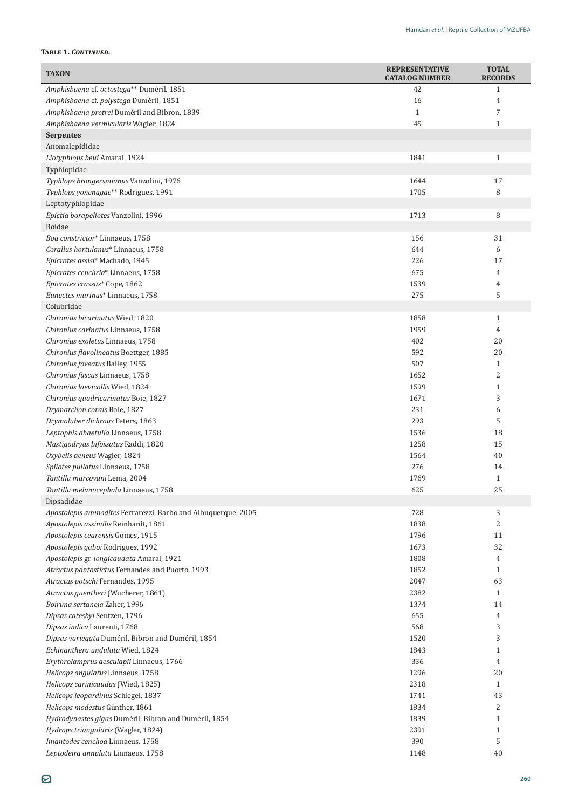### **Table 1.** *Continued.*

| Amphisbaena cf. octostega** Duméril, 1851<br>42<br>$\mathbf{1}$<br>Amphisbaena cf. polystega Duméril, 1851<br>16<br>4<br>Amphisbaena pretrei Duméril and Bibron, 1839<br>$\mathbf{1}$<br>7<br>45<br>Amphisbaena vermicularis Wagler, 1824<br>$\mathbf{1}$<br><b>Serpentes</b><br>Anomalepididae<br>1841<br>Liotyphlops beui Amaral, 1924<br>$\mathbf{1}$<br>Typhlopidae<br>Typhlops brongersmianus Vanzolini, 1976<br>1644<br>17<br>1705<br>Typhlops yonenagae** Rodrigues, 1991<br>8<br>Leptotyphlopidae<br>8<br>Epictia borapeliotes Vanzolini, 1996<br>1713<br>Boidae<br>Boa constrictor* Linnaeus, 1758<br>156<br>31<br>Corallus hortulanus* Linnaeus, 1758<br>644<br>6<br>Epicrates assisi* Machado, 1945<br>226<br>17<br>Epicrates cenchria* Linnaeus, 1758<br>675<br>4<br>Epicrates crassus* Cope, 1862<br>1539<br>4<br>Eunectes murinus* Linnaeus, 1758<br>275<br>5<br>Colubridae<br>Chironius bicarinatus Wied, 1820<br>1858<br>$\mathbf{1}$<br>Chironius carinatus Linnaeus, 1758<br>1959<br>4<br>402<br>20<br>Chironius exoletus Linnaeus, 1758<br>592<br>20<br>Chironius flavolineatus Boettger, 1885<br>507<br>Chironius foveatus Bailey, 1955<br>$\mathbf{1}$<br>2<br>Chironius fuscus Linnaeus, 1758<br>1652<br>1599<br>$\mathbf{1}$<br>Chironius laevicollis Wied, 1824<br>3<br>1671<br>Chironius quadricarinatus Boie, 1827<br>231<br>Drymarchon corais Boie, 1827<br>6<br>293<br>5<br>Drymoluber dichrous Peters, 1863<br>1536<br>18<br>Leptophis ahaetulla Linnaeus, 1758<br>1258<br>15<br>Mastigodryas bifossatus Raddi, 1820<br>Oxybelis aeneus Wagler, 1824<br>1564<br>40<br>Spilotes pullatus Linnaeus, 1758<br>276<br>14<br>Tantilla marcovani Lema, 2004<br>1769<br>$\mathbf{1}$<br>625<br>25<br>Tantilla melanocephala Linnaeus, 1758<br>Dipsadidae<br>728<br>3<br>Apostolepis ammodites Ferrarezzi, Barbo and Albuquerque, 2005<br>Apostolepis assimilis Reinhardt, 1861<br>1838<br>2<br>1796<br>Apostolepis cearensis Gomes, 1915<br>11<br>1673<br>32<br>Apostolepis gaboi Rodrigues, 1992<br>1808<br>Apostolepis gr. longicaudata Amaral, 1921<br>4<br>1852<br>Atractus pantostictus Fernandes and Puorto, 1993<br>$\mathbf{1}$<br>2047<br>63<br>Atractus potschi Fernandes, 1995<br>2382<br>Atractus guentheri (Wucherer, 1861)<br>$\mathbf{1}$<br>1374<br>Boiruna sertaneja Zaher, 1996<br>14<br>Dipsas catesbyi Sentzen, 1796<br>655<br>4<br>Dipsas indica Laurenti, 1768<br>568<br>3<br>3<br>1520<br>Dipsas variegata Duméril, Bibron and Duméril, 1854<br>Echinanthera undulata Wied, 1824<br>1843<br>$\mathbf{1}$<br>336<br>Erythrolamprus aesculapii Linnaeus, 1766<br>$\overline{4}$<br>1296<br>20<br>Helicops angulatus Linnaeus, 1758<br>2318<br>Helicops carinicaudus (Wied, 1825)<br>$\mathbf{1}$<br>Helicops leopardinus Schlegel, 1837<br>1741<br>43<br>Helicops modestus Günther, 1861<br>1834<br>2<br>1839<br>$\mathbf{1}$<br>Hydrodynastes gigas Duméril, Bibron and Duméril, 1854<br>2391<br>$\mathbf{1}$<br>Hydrops triangularis (Wagler, 1824)<br>390<br>5<br>Imantodes cenchoa Linnaeus, 1758 | <b>TAXON</b>                       | <b>REPRESENTATIVE</b><br><b>CATALOG NUMBER</b> | <b>TOTAL</b><br><b>RECORDS</b> |
|-------------------------------------------------------------------------------------------------------------------------------------------------------------------------------------------------------------------------------------------------------------------------------------------------------------------------------------------------------------------------------------------------------------------------------------------------------------------------------------------------------------------------------------------------------------------------------------------------------------------------------------------------------------------------------------------------------------------------------------------------------------------------------------------------------------------------------------------------------------------------------------------------------------------------------------------------------------------------------------------------------------------------------------------------------------------------------------------------------------------------------------------------------------------------------------------------------------------------------------------------------------------------------------------------------------------------------------------------------------------------------------------------------------------------------------------------------------------------------------------------------------------------------------------------------------------------------------------------------------------------------------------------------------------------------------------------------------------------------------------------------------------------------------------------------------------------------------------------------------------------------------------------------------------------------------------------------------------------------------------------------------------------------------------------------------------------------------------------------------------------------------------------------------------------------------------------------------------------------------------------------------------------------------------------------------------------------------------------------------------------------------------------------------------------------------------------------------------------------------------------------------------------------------------------------------------------------------------------------------------------------------------------------------------------------------------------------------------------------------------------------------------------------------------------------------------------------------------------------------------------------------------------------------------------------------------------------------------------------------------------------------------------------------------------|------------------------------------|------------------------------------------------|--------------------------------|
|                                                                                                                                                                                                                                                                                                                                                                                                                                                                                                                                                                                                                                                                                                                                                                                                                                                                                                                                                                                                                                                                                                                                                                                                                                                                                                                                                                                                                                                                                                                                                                                                                                                                                                                                                                                                                                                                                                                                                                                                                                                                                                                                                                                                                                                                                                                                                                                                                                                                                                                                                                                                                                                                                                                                                                                                                                                                                                                                                                                                                                                 |                                    |                                                |                                |
|                                                                                                                                                                                                                                                                                                                                                                                                                                                                                                                                                                                                                                                                                                                                                                                                                                                                                                                                                                                                                                                                                                                                                                                                                                                                                                                                                                                                                                                                                                                                                                                                                                                                                                                                                                                                                                                                                                                                                                                                                                                                                                                                                                                                                                                                                                                                                                                                                                                                                                                                                                                                                                                                                                                                                                                                                                                                                                                                                                                                                                                 |                                    |                                                |                                |
|                                                                                                                                                                                                                                                                                                                                                                                                                                                                                                                                                                                                                                                                                                                                                                                                                                                                                                                                                                                                                                                                                                                                                                                                                                                                                                                                                                                                                                                                                                                                                                                                                                                                                                                                                                                                                                                                                                                                                                                                                                                                                                                                                                                                                                                                                                                                                                                                                                                                                                                                                                                                                                                                                                                                                                                                                                                                                                                                                                                                                                                 |                                    |                                                |                                |
|                                                                                                                                                                                                                                                                                                                                                                                                                                                                                                                                                                                                                                                                                                                                                                                                                                                                                                                                                                                                                                                                                                                                                                                                                                                                                                                                                                                                                                                                                                                                                                                                                                                                                                                                                                                                                                                                                                                                                                                                                                                                                                                                                                                                                                                                                                                                                                                                                                                                                                                                                                                                                                                                                                                                                                                                                                                                                                                                                                                                                                                 |                                    |                                                |                                |
|                                                                                                                                                                                                                                                                                                                                                                                                                                                                                                                                                                                                                                                                                                                                                                                                                                                                                                                                                                                                                                                                                                                                                                                                                                                                                                                                                                                                                                                                                                                                                                                                                                                                                                                                                                                                                                                                                                                                                                                                                                                                                                                                                                                                                                                                                                                                                                                                                                                                                                                                                                                                                                                                                                                                                                                                                                                                                                                                                                                                                                                 |                                    |                                                |                                |
|                                                                                                                                                                                                                                                                                                                                                                                                                                                                                                                                                                                                                                                                                                                                                                                                                                                                                                                                                                                                                                                                                                                                                                                                                                                                                                                                                                                                                                                                                                                                                                                                                                                                                                                                                                                                                                                                                                                                                                                                                                                                                                                                                                                                                                                                                                                                                                                                                                                                                                                                                                                                                                                                                                                                                                                                                                                                                                                                                                                                                                                 |                                    |                                                |                                |
|                                                                                                                                                                                                                                                                                                                                                                                                                                                                                                                                                                                                                                                                                                                                                                                                                                                                                                                                                                                                                                                                                                                                                                                                                                                                                                                                                                                                                                                                                                                                                                                                                                                                                                                                                                                                                                                                                                                                                                                                                                                                                                                                                                                                                                                                                                                                                                                                                                                                                                                                                                                                                                                                                                                                                                                                                                                                                                                                                                                                                                                 |                                    |                                                |                                |
|                                                                                                                                                                                                                                                                                                                                                                                                                                                                                                                                                                                                                                                                                                                                                                                                                                                                                                                                                                                                                                                                                                                                                                                                                                                                                                                                                                                                                                                                                                                                                                                                                                                                                                                                                                                                                                                                                                                                                                                                                                                                                                                                                                                                                                                                                                                                                                                                                                                                                                                                                                                                                                                                                                                                                                                                                                                                                                                                                                                                                                                 |                                    |                                                |                                |
|                                                                                                                                                                                                                                                                                                                                                                                                                                                                                                                                                                                                                                                                                                                                                                                                                                                                                                                                                                                                                                                                                                                                                                                                                                                                                                                                                                                                                                                                                                                                                                                                                                                                                                                                                                                                                                                                                                                                                                                                                                                                                                                                                                                                                                                                                                                                                                                                                                                                                                                                                                                                                                                                                                                                                                                                                                                                                                                                                                                                                                                 |                                    |                                                |                                |
|                                                                                                                                                                                                                                                                                                                                                                                                                                                                                                                                                                                                                                                                                                                                                                                                                                                                                                                                                                                                                                                                                                                                                                                                                                                                                                                                                                                                                                                                                                                                                                                                                                                                                                                                                                                                                                                                                                                                                                                                                                                                                                                                                                                                                                                                                                                                                                                                                                                                                                                                                                                                                                                                                                                                                                                                                                                                                                                                                                                                                                                 |                                    |                                                |                                |
|                                                                                                                                                                                                                                                                                                                                                                                                                                                                                                                                                                                                                                                                                                                                                                                                                                                                                                                                                                                                                                                                                                                                                                                                                                                                                                                                                                                                                                                                                                                                                                                                                                                                                                                                                                                                                                                                                                                                                                                                                                                                                                                                                                                                                                                                                                                                                                                                                                                                                                                                                                                                                                                                                                                                                                                                                                                                                                                                                                                                                                                 |                                    |                                                |                                |
|                                                                                                                                                                                                                                                                                                                                                                                                                                                                                                                                                                                                                                                                                                                                                                                                                                                                                                                                                                                                                                                                                                                                                                                                                                                                                                                                                                                                                                                                                                                                                                                                                                                                                                                                                                                                                                                                                                                                                                                                                                                                                                                                                                                                                                                                                                                                                                                                                                                                                                                                                                                                                                                                                                                                                                                                                                                                                                                                                                                                                                                 |                                    |                                                |                                |
|                                                                                                                                                                                                                                                                                                                                                                                                                                                                                                                                                                                                                                                                                                                                                                                                                                                                                                                                                                                                                                                                                                                                                                                                                                                                                                                                                                                                                                                                                                                                                                                                                                                                                                                                                                                                                                                                                                                                                                                                                                                                                                                                                                                                                                                                                                                                                                                                                                                                                                                                                                                                                                                                                                                                                                                                                                                                                                                                                                                                                                                 |                                    |                                                |                                |
|                                                                                                                                                                                                                                                                                                                                                                                                                                                                                                                                                                                                                                                                                                                                                                                                                                                                                                                                                                                                                                                                                                                                                                                                                                                                                                                                                                                                                                                                                                                                                                                                                                                                                                                                                                                                                                                                                                                                                                                                                                                                                                                                                                                                                                                                                                                                                                                                                                                                                                                                                                                                                                                                                                                                                                                                                                                                                                                                                                                                                                                 |                                    |                                                |                                |
|                                                                                                                                                                                                                                                                                                                                                                                                                                                                                                                                                                                                                                                                                                                                                                                                                                                                                                                                                                                                                                                                                                                                                                                                                                                                                                                                                                                                                                                                                                                                                                                                                                                                                                                                                                                                                                                                                                                                                                                                                                                                                                                                                                                                                                                                                                                                                                                                                                                                                                                                                                                                                                                                                                                                                                                                                                                                                                                                                                                                                                                 |                                    |                                                |                                |
|                                                                                                                                                                                                                                                                                                                                                                                                                                                                                                                                                                                                                                                                                                                                                                                                                                                                                                                                                                                                                                                                                                                                                                                                                                                                                                                                                                                                                                                                                                                                                                                                                                                                                                                                                                                                                                                                                                                                                                                                                                                                                                                                                                                                                                                                                                                                                                                                                                                                                                                                                                                                                                                                                                                                                                                                                                                                                                                                                                                                                                                 |                                    |                                                |                                |
|                                                                                                                                                                                                                                                                                                                                                                                                                                                                                                                                                                                                                                                                                                                                                                                                                                                                                                                                                                                                                                                                                                                                                                                                                                                                                                                                                                                                                                                                                                                                                                                                                                                                                                                                                                                                                                                                                                                                                                                                                                                                                                                                                                                                                                                                                                                                                                                                                                                                                                                                                                                                                                                                                                                                                                                                                                                                                                                                                                                                                                                 |                                    |                                                |                                |
|                                                                                                                                                                                                                                                                                                                                                                                                                                                                                                                                                                                                                                                                                                                                                                                                                                                                                                                                                                                                                                                                                                                                                                                                                                                                                                                                                                                                                                                                                                                                                                                                                                                                                                                                                                                                                                                                                                                                                                                                                                                                                                                                                                                                                                                                                                                                                                                                                                                                                                                                                                                                                                                                                                                                                                                                                                                                                                                                                                                                                                                 |                                    |                                                |                                |
|                                                                                                                                                                                                                                                                                                                                                                                                                                                                                                                                                                                                                                                                                                                                                                                                                                                                                                                                                                                                                                                                                                                                                                                                                                                                                                                                                                                                                                                                                                                                                                                                                                                                                                                                                                                                                                                                                                                                                                                                                                                                                                                                                                                                                                                                                                                                                                                                                                                                                                                                                                                                                                                                                                                                                                                                                                                                                                                                                                                                                                                 |                                    |                                                |                                |
|                                                                                                                                                                                                                                                                                                                                                                                                                                                                                                                                                                                                                                                                                                                                                                                                                                                                                                                                                                                                                                                                                                                                                                                                                                                                                                                                                                                                                                                                                                                                                                                                                                                                                                                                                                                                                                                                                                                                                                                                                                                                                                                                                                                                                                                                                                                                                                                                                                                                                                                                                                                                                                                                                                                                                                                                                                                                                                                                                                                                                                                 |                                    |                                                |                                |
|                                                                                                                                                                                                                                                                                                                                                                                                                                                                                                                                                                                                                                                                                                                                                                                                                                                                                                                                                                                                                                                                                                                                                                                                                                                                                                                                                                                                                                                                                                                                                                                                                                                                                                                                                                                                                                                                                                                                                                                                                                                                                                                                                                                                                                                                                                                                                                                                                                                                                                                                                                                                                                                                                                                                                                                                                                                                                                                                                                                                                                                 |                                    |                                                |                                |
|                                                                                                                                                                                                                                                                                                                                                                                                                                                                                                                                                                                                                                                                                                                                                                                                                                                                                                                                                                                                                                                                                                                                                                                                                                                                                                                                                                                                                                                                                                                                                                                                                                                                                                                                                                                                                                                                                                                                                                                                                                                                                                                                                                                                                                                                                                                                                                                                                                                                                                                                                                                                                                                                                                                                                                                                                                                                                                                                                                                                                                                 |                                    |                                                |                                |
|                                                                                                                                                                                                                                                                                                                                                                                                                                                                                                                                                                                                                                                                                                                                                                                                                                                                                                                                                                                                                                                                                                                                                                                                                                                                                                                                                                                                                                                                                                                                                                                                                                                                                                                                                                                                                                                                                                                                                                                                                                                                                                                                                                                                                                                                                                                                                                                                                                                                                                                                                                                                                                                                                                                                                                                                                                                                                                                                                                                                                                                 |                                    |                                                |                                |
|                                                                                                                                                                                                                                                                                                                                                                                                                                                                                                                                                                                                                                                                                                                                                                                                                                                                                                                                                                                                                                                                                                                                                                                                                                                                                                                                                                                                                                                                                                                                                                                                                                                                                                                                                                                                                                                                                                                                                                                                                                                                                                                                                                                                                                                                                                                                                                                                                                                                                                                                                                                                                                                                                                                                                                                                                                                                                                                                                                                                                                                 |                                    |                                                |                                |
|                                                                                                                                                                                                                                                                                                                                                                                                                                                                                                                                                                                                                                                                                                                                                                                                                                                                                                                                                                                                                                                                                                                                                                                                                                                                                                                                                                                                                                                                                                                                                                                                                                                                                                                                                                                                                                                                                                                                                                                                                                                                                                                                                                                                                                                                                                                                                                                                                                                                                                                                                                                                                                                                                                                                                                                                                                                                                                                                                                                                                                                 |                                    |                                                |                                |
|                                                                                                                                                                                                                                                                                                                                                                                                                                                                                                                                                                                                                                                                                                                                                                                                                                                                                                                                                                                                                                                                                                                                                                                                                                                                                                                                                                                                                                                                                                                                                                                                                                                                                                                                                                                                                                                                                                                                                                                                                                                                                                                                                                                                                                                                                                                                                                                                                                                                                                                                                                                                                                                                                                                                                                                                                                                                                                                                                                                                                                                 |                                    |                                                |                                |
|                                                                                                                                                                                                                                                                                                                                                                                                                                                                                                                                                                                                                                                                                                                                                                                                                                                                                                                                                                                                                                                                                                                                                                                                                                                                                                                                                                                                                                                                                                                                                                                                                                                                                                                                                                                                                                                                                                                                                                                                                                                                                                                                                                                                                                                                                                                                                                                                                                                                                                                                                                                                                                                                                                                                                                                                                                                                                                                                                                                                                                                 |                                    |                                                |                                |
|                                                                                                                                                                                                                                                                                                                                                                                                                                                                                                                                                                                                                                                                                                                                                                                                                                                                                                                                                                                                                                                                                                                                                                                                                                                                                                                                                                                                                                                                                                                                                                                                                                                                                                                                                                                                                                                                                                                                                                                                                                                                                                                                                                                                                                                                                                                                                                                                                                                                                                                                                                                                                                                                                                                                                                                                                                                                                                                                                                                                                                                 |                                    |                                                |                                |
|                                                                                                                                                                                                                                                                                                                                                                                                                                                                                                                                                                                                                                                                                                                                                                                                                                                                                                                                                                                                                                                                                                                                                                                                                                                                                                                                                                                                                                                                                                                                                                                                                                                                                                                                                                                                                                                                                                                                                                                                                                                                                                                                                                                                                                                                                                                                                                                                                                                                                                                                                                                                                                                                                                                                                                                                                                                                                                                                                                                                                                                 |                                    |                                                |                                |
|                                                                                                                                                                                                                                                                                                                                                                                                                                                                                                                                                                                                                                                                                                                                                                                                                                                                                                                                                                                                                                                                                                                                                                                                                                                                                                                                                                                                                                                                                                                                                                                                                                                                                                                                                                                                                                                                                                                                                                                                                                                                                                                                                                                                                                                                                                                                                                                                                                                                                                                                                                                                                                                                                                                                                                                                                                                                                                                                                                                                                                                 |                                    |                                                |                                |
|                                                                                                                                                                                                                                                                                                                                                                                                                                                                                                                                                                                                                                                                                                                                                                                                                                                                                                                                                                                                                                                                                                                                                                                                                                                                                                                                                                                                                                                                                                                                                                                                                                                                                                                                                                                                                                                                                                                                                                                                                                                                                                                                                                                                                                                                                                                                                                                                                                                                                                                                                                                                                                                                                                                                                                                                                                                                                                                                                                                                                                                 |                                    |                                                |                                |
|                                                                                                                                                                                                                                                                                                                                                                                                                                                                                                                                                                                                                                                                                                                                                                                                                                                                                                                                                                                                                                                                                                                                                                                                                                                                                                                                                                                                                                                                                                                                                                                                                                                                                                                                                                                                                                                                                                                                                                                                                                                                                                                                                                                                                                                                                                                                                                                                                                                                                                                                                                                                                                                                                                                                                                                                                                                                                                                                                                                                                                                 |                                    |                                                |                                |
|                                                                                                                                                                                                                                                                                                                                                                                                                                                                                                                                                                                                                                                                                                                                                                                                                                                                                                                                                                                                                                                                                                                                                                                                                                                                                                                                                                                                                                                                                                                                                                                                                                                                                                                                                                                                                                                                                                                                                                                                                                                                                                                                                                                                                                                                                                                                                                                                                                                                                                                                                                                                                                                                                                                                                                                                                                                                                                                                                                                                                                                 |                                    |                                                |                                |
|                                                                                                                                                                                                                                                                                                                                                                                                                                                                                                                                                                                                                                                                                                                                                                                                                                                                                                                                                                                                                                                                                                                                                                                                                                                                                                                                                                                                                                                                                                                                                                                                                                                                                                                                                                                                                                                                                                                                                                                                                                                                                                                                                                                                                                                                                                                                                                                                                                                                                                                                                                                                                                                                                                                                                                                                                                                                                                                                                                                                                                                 |                                    |                                                |                                |
|                                                                                                                                                                                                                                                                                                                                                                                                                                                                                                                                                                                                                                                                                                                                                                                                                                                                                                                                                                                                                                                                                                                                                                                                                                                                                                                                                                                                                                                                                                                                                                                                                                                                                                                                                                                                                                                                                                                                                                                                                                                                                                                                                                                                                                                                                                                                                                                                                                                                                                                                                                                                                                                                                                                                                                                                                                                                                                                                                                                                                                                 |                                    |                                                |                                |
|                                                                                                                                                                                                                                                                                                                                                                                                                                                                                                                                                                                                                                                                                                                                                                                                                                                                                                                                                                                                                                                                                                                                                                                                                                                                                                                                                                                                                                                                                                                                                                                                                                                                                                                                                                                                                                                                                                                                                                                                                                                                                                                                                                                                                                                                                                                                                                                                                                                                                                                                                                                                                                                                                                                                                                                                                                                                                                                                                                                                                                                 |                                    |                                                |                                |
|                                                                                                                                                                                                                                                                                                                                                                                                                                                                                                                                                                                                                                                                                                                                                                                                                                                                                                                                                                                                                                                                                                                                                                                                                                                                                                                                                                                                                                                                                                                                                                                                                                                                                                                                                                                                                                                                                                                                                                                                                                                                                                                                                                                                                                                                                                                                                                                                                                                                                                                                                                                                                                                                                                                                                                                                                                                                                                                                                                                                                                                 |                                    |                                                |                                |
|                                                                                                                                                                                                                                                                                                                                                                                                                                                                                                                                                                                                                                                                                                                                                                                                                                                                                                                                                                                                                                                                                                                                                                                                                                                                                                                                                                                                                                                                                                                                                                                                                                                                                                                                                                                                                                                                                                                                                                                                                                                                                                                                                                                                                                                                                                                                                                                                                                                                                                                                                                                                                                                                                                                                                                                                                                                                                                                                                                                                                                                 |                                    |                                                |                                |
|                                                                                                                                                                                                                                                                                                                                                                                                                                                                                                                                                                                                                                                                                                                                                                                                                                                                                                                                                                                                                                                                                                                                                                                                                                                                                                                                                                                                                                                                                                                                                                                                                                                                                                                                                                                                                                                                                                                                                                                                                                                                                                                                                                                                                                                                                                                                                                                                                                                                                                                                                                                                                                                                                                                                                                                                                                                                                                                                                                                                                                                 |                                    |                                                |                                |
|                                                                                                                                                                                                                                                                                                                                                                                                                                                                                                                                                                                                                                                                                                                                                                                                                                                                                                                                                                                                                                                                                                                                                                                                                                                                                                                                                                                                                                                                                                                                                                                                                                                                                                                                                                                                                                                                                                                                                                                                                                                                                                                                                                                                                                                                                                                                                                                                                                                                                                                                                                                                                                                                                                                                                                                                                                                                                                                                                                                                                                                 |                                    |                                                |                                |
|                                                                                                                                                                                                                                                                                                                                                                                                                                                                                                                                                                                                                                                                                                                                                                                                                                                                                                                                                                                                                                                                                                                                                                                                                                                                                                                                                                                                                                                                                                                                                                                                                                                                                                                                                                                                                                                                                                                                                                                                                                                                                                                                                                                                                                                                                                                                                                                                                                                                                                                                                                                                                                                                                                                                                                                                                                                                                                                                                                                                                                                 |                                    |                                                |                                |
|                                                                                                                                                                                                                                                                                                                                                                                                                                                                                                                                                                                                                                                                                                                                                                                                                                                                                                                                                                                                                                                                                                                                                                                                                                                                                                                                                                                                                                                                                                                                                                                                                                                                                                                                                                                                                                                                                                                                                                                                                                                                                                                                                                                                                                                                                                                                                                                                                                                                                                                                                                                                                                                                                                                                                                                                                                                                                                                                                                                                                                                 |                                    |                                                |                                |
|                                                                                                                                                                                                                                                                                                                                                                                                                                                                                                                                                                                                                                                                                                                                                                                                                                                                                                                                                                                                                                                                                                                                                                                                                                                                                                                                                                                                                                                                                                                                                                                                                                                                                                                                                                                                                                                                                                                                                                                                                                                                                                                                                                                                                                                                                                                                                                                                                                                                                                                                                                                                                                                                                                                                                                                                                                                                                                                                                                                                                                                 |                                    |                                                |                                |
|                                                                                                                                                                                                                                                                                                                                                                                                                                                                                                                                                                                                                                                                                                                                                                                                                                                                                                                                                                                                                                                                                                                                                                                                                                                                                                                                                                                                                                                                                                                                                                                                                                                                                                                                                                                                                                                                                                                                                                                                                                                                                                                                                                                                                                                                                                                                                                                                                                                                                                                                                                                                                                                                                                                                                                                                                                                                                                                                                                                                                                                 |                                    |                                                |                                |
|                                                                                                                                                                                                                                                                                                                                                                                                                                                                                                                                                                                                                                                                                                                                                                                                                                                                                                                                                                                                                                                                                                                                                                                                                                                                                                                                                                                                                                                                                                                                                                                                                                                                                                                                                                                                                                                                                                                                                                                                                                                                                                                                                                                                                                                                                                                                                                                                                                                                                                                                                                                                                                                                                                                                                                                                                                                                                                                                                                                                                                                 |                                    |                                                |                                |
|                                                                                                                                                                                                                                                                                                                                                                                                                                                                                                                                                                                                                                                                                                                                                                                                                                                                                                                                                                                                                                                                                                                                                                                                                                                                                                                                                                                                                                                                                                                                                                                                                                                                                                                                                                                                                                                                                                                                                                                                                                                                                                                                                                                                                                                                                                                                                                                                                                                                                                                                                                                                                                                                                                                                                                                                                                                                                                                                                                                                                                                 |                                    |                                                |                                |
|                                                                                                                                                                                                                                                                                                                                                                                                                                                                                                                                                                                                                                                                                                                                                                                                                                                                                                                                                                                                                                                                                                                                                                                                                                                                                                                                                                                                                                                                                                                                                                                                                                                                                                                                                                                                                                                                                                                                                                                                                                                                                                                                                                                                                                                                                                                                                                                                                                                                                                                                                                                                                                                                                                                                                                                                                                                                                                                                                                                                                                                 |                                    |                                                |                                |
|                                                                                                                                                                                                                                                                                                                                                                                                                                                                                                                                                                                                                                                                                                                                                                                                                                                                                                                                                                                                                                                                                                                                                                                                                                                                                                                                                                                                                                                                                                                                                                                                                                                                                                                                                                                                                                                                                                                                                                                                                                                                                                                                                                                                                                                                                                                                                                                                                                                                                                                                                                                                                                                                                                                                                                                                                                                                                                                                                                                                                                                 |                                    |                                                |                                |
|                                                                                                                                                                                                                                                                                                                                                                                                                                                                                                                                                                                                                                                                                                                                                                                                                                                                                                                                                                                                                                                                                                                                                                                                                                                                                                                                                                                                                                                                                                                                                                                                                                                                                                                                                                                                                                                                                                                                                                                                                                                                                                                                                                                                                                                                                                                                                                                                                                                                                                                                                                                                                                                                                                                                                                                                                                                                                                                                                                                                                                                 |                                    |                                                |                                |
|                                                                                                                                                                                                                                                                                                                                                                                                                                                                                                                                                                                                                                                                                                                                                                                                                                                                                                                                                                                                                                                                                                                                                                                                                                                                                                                                                                                                                                                                                                                                                                                                                                                                                                                                                                                                                                                                                                                                                                                                                                                                                                                                                                                                                                                                                                                                                                                                                                                                                                                                                                                                                                                                                                                                                                                                                                                                                                                                                                                                                                                 |                                    |                                                |                                |
|                                                                                                                                                                                                                                                                                                                                                                                                                                                                                                                                                                                                                                                                                                                                                                                                                                                                                                                                                                                                                                                                                                                                                                                                                                                                                                                                                                                                                                                                                                                                                                                                                                                                                                                                                                                                                                                                                                                                                                                                                                                                                                                                                                                                                                                                                                                                                                                                                                                                                                                                                                                                                                                                                                                                                                                                                                                                                                                                                                                                                                                 |                                    |                                                |                                |
|                                                                                                                                                                                                                                                                                                                                                                                                                                                                                                                                                                                                                                                                                                                                                                                                                                                                                                                                                                                                                                                                                                                                                                                                                                                                                                                                                                                                                                                                                                                                                                                                                                                                                                                                                                                                                                                                                                                                                                                                                                                                                                                                                                                                                                                                                                                                                                                                                                                                                                                                                                                                                                                                                                                                                                                                                                                                                                                                                                                                                                                 |                                    |                                                |                                |
|                                                                                                                                                                                                                                                                                                                                                                                                                                                                                                                                                                                                                                                                                                                                                                                                                                                                                                                                                                                                                                                                                                                                                                                                                                                                                                                                                                                                                                                                                                                                                                                                                                                                                                                                                                                                                                                                                                                                                                                                                                                                                                                                                                                                                                                                                                                                                                                                                                                                                                                                                                                                                                                                                                                                                                                                                                                                                                                                                                                                                                                 |                                    |                                                |                                |
|                                                                                                                                                                                                                                                                                                                                                                                                                                                                                                                                                                                                                                                                                                                                                                                                                                                                                                                                                                                                                                                                                                                                                                                                                                                                                                                                                                                                                                                                                                                                                                                                                                                                                                                                                                                                                                                                                                                                                                                                                                                                                                                                                                                                                                                                                                                                                                                                                                                                                                                                                                                                                                                                                                                                                                                                                                                                                                                                                                                                                                                 |                                    |                                                |                                |
|                                                                                                                                                                                                                                                                                                                                                                                                                                                                                                                                                                                                                                                                                                                                                                                                                                                                                                                                                                                                                                                                                                                                                                                                                                                                                                                                                                                                                                                                                                                                                                                                                                                                                                                                                                                                                                                                                                                                                                                                                                                                                                                                                                                                                                                                                                                                                                                                                                                                                                                                                                                                                                                                                                                                                                                                                                                                                                                                                                                                                                                 |                                    |                                                |                                |
|                                                                                                                                                                                                                                                                                                                                                                                                                                                                                                                                                                                                                                                                                                                                                                                                                                                                                                                                                                                                                                                                                                                                                                                                                                                                                                                                                                                                                                                                                                                                                                                                                                                                                                                                                                                                                                                                                                                                                                                                                                                                                                                                                                                                                                                                                                                                                                                                                                                                                                                                                                                                                                                                                                                                                                                                                                                                                                                                                                                                                                                 |                                    |                                                |                                |
|                                                                                                                                                                                                                                                                                                                                                                                                                                                                                                                                                                                                                                                                                                                                                                                                                                                                                                                                                                                                                                                                                                                                                                                                                                                                                                                                                                                                                                                                                                                                                                                                                                                                                                                                                                                                                                                                                                                                                                                                                                                                                                                                                                                                                                                                                                                                                                                                                                                                                                                                                                                                                                                                                                                                                                                                                                                                                                                                                                                                                                                 |                                    |                                                |                                |
|                                                                                                                                                                                                                                                                                                                                                                                                                                                                                                                                                                                                                                                                                                                                                                                                                                                                                                                                                                                                                                                                                                                                                                                                                                                                                                                                                                                                                                                                                                                                                                                                                                                                                                                                                                                                                                                                                                                                                                                                                                                                                                                                                                                                                                                                                                                                                                                                                                                                                                                                                                                                                                                                                                                                                                                                                                                                                                                                                                                                                                                 | Leptodeira annulata Linnaeus, 1758 | 1148                                           | 40                             |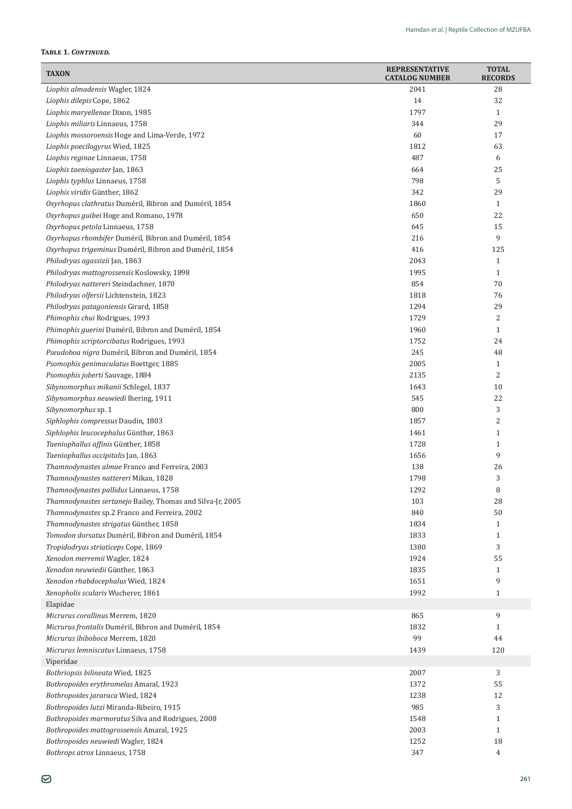# **Table 1.** *Continued.*

| <b>TAXON</b>                                                                           | <b>REPRESENTATIVE</b><br><b>CATALOG NUMBER</b> | <b>TOTAL</b><br><b>RECORDS</b> |
|----------------------------------------------------------------------------------------|------------------------------------------------|--------------------------------|
| Liophis almadensis Wagler, 1824                                                        | 2041                                           | 28                             |
| Liophis dilepis Cope, 1862                                                             | 14                                             | 32                             |
| Liophis maryellenae Dixon, 1985                                                        | 1797                                           | $\mathbf{1}$                   |
| Liophis miliaris Linnaeus, 1758                                                        | 344                                            | 29                             |
| Liophis mossoroensis Hoge and Lima-Verde, 1972                                         | 60                                             | 17                             |
| Liophis poecilogyrus Wied, 1825                                                        | 1812                                           | 63                             |
| Liophis reginae Linnaeus, 1758                                                         | 487                                            | 6                              |
| Liophis taeniogaster Jan, 1863                                                         | 664                                            | 25                             |
| Liophis typhlus Linnaeus, 1758                                                         | 798                                            | 5                              |
| Liophis viridis Günther, 1862                                                          | 342                                            | 29                             |
| Oxyrhopus clathratus Duméril, Bibron and Duméril, 1854                                 | 1860                                           | $\mathbf{1}$                   |
| Oxyrhopus guibei Hoge and Romano, 1978                                                 | 650                                            | 22                             |
| Oxyrhopus petola Linnaeus, 1758                                                        | 645                                            | 15                             |
| Oxyrhopus rhombifer Duméril, Bibron and Duméril, 1854                                  | 216                                            | 9                              |
| Oxyrhopus trigeminus Duméril, Bibron and Duméril, 1854                                 | 416                                            | 125                            |
| Philodryas agassizii Jan, 1863                                                         | 2043                                           | $\mathbf{1}$                   |
| Philodryas mattogrossensis Koslowsky, 1898                                             | 1995                                           | $\mathbf{1}$                   |
| Philodryas nattereri Steindachner, 1870                                                | 854                                            | 70                             |
| Philodryas olfersii Lichtenstein, 1823                                                 | 1818                                           | 76                             |
| Philodryas patagoniensis Girard, 1858                                                  | 1294                                           | 29                             |
| Phimophis chui Rodrigues, 1993                                                         | 1729                                           | 2                              |
| Phimophis guerini Duméril, Bibron and Duméril, 1854                                    | 1960                                           | $\mathbf{1}$                   |
| Phimophis scriptorcibatus Rodrigues, 1993                                              | 1752                                           | 24                             |
| Pseudoboa nigra Duméril, Bibron and Duméril, 1854                                      | 245                                            | 48                             |
| Psomophis genimaculatus Boettger, 1885                                                 | 2005                                           | $\mathbf{1}$                   |
| Psomophis joberti Sauvage, 1884                                                        | 2135                                           | 2                              |
| Sibynomorphus mikanii Schlegel, 1837                                                   | 1643                                           | 10                             |
| Sibynomorphus neuwiedi Ihering, 1911                                                   | 545                                            | 22                             |
| Sibynomorphus sp. 1                                                                    | 800                                            | 3                              |
| Siphlophis compressus Daudin, 1803                                                     | 1857                                           | 2                              |
| Siphlophis leucocephalus Günther, 1863                                                 | 1461                                           | $\mathbf{1}$                   |
| Taeniophallus affinis Günther, 1858                                                    | 1728                                           | $\mathbf{1}$<br>9              |
| Taeniophallus occipitalis Jan, 1863                                                    | 1656<br>138                                    | 26                             |
| Thamnodynastes almae Franco and Ferreira, 2003<br>Thamnodynastes nattereri Mikan, 1828 | 1798                                           | 3                              |
| Thamnodynastes pallidus Linnaeus, 1758                                                 | 1292                                           | 8                              |
| Thamnodynastes sertanejo Bailey, Thomas and Silva-Jr, 2005                             | 103                                            | 28                             |
| Thamnodynastes sp.2 Franco and Ferreira, 2002                                          | 840                                            | 50                             |
| Thamnodynastes strigatus Günther, 1858                                                 | 1834                                           | $\mathbf{1}$                   |
| Tomodon dorsatus Duméril, Bibron and Duméril, 1854                                     | 1833                                           | $\mathbf{1}$                   |
| Tropidodryas striaticeps Cope, 1869                                                    | 1380                                           | 3                              |
| Xenodon merremii Wagler, 1824                                                          | 1924                                           | 55                             |
| Xenodon neuwiedii Günther, 1863                                                        | 1835                                           | $\mathbf{1}$                   |
| Xenodon rhabdocephalus Wied, 1824                                                      | 1651                                           | 9                              |
| Xenopholis scalaris Wucherer, 1861                                                     | 1992                                           | $\mathbf{1}$                   |
| Elapidae                                                                               |                                                |                                |
| Micrurus corallinus Merrem, 1820                                                       | 865                                            | 9                              |
| Micrurus frontalis Duméril, Bibron and Duméril, 1854                                   | 1832                                           | $\mathbf{1}$                   |
| Micrurus ibiboboca Merrem, 1820                                                        | 99                                             | 44                             |
| Micrurus lemniscatus Linnaeus, 1758                                                    | 1439                                           | 120                            |
| Viperidae                                                                              |                                                |                                |
| Bothriopsis bilineata Wied, 1825                                                       | 2007                                           | 3                              |
| Bothropoides erythromelas Amaral, 1923                                                 | 1372                                           | 55                             |
| Bothropoides jararaca Wied, 1824                                                       | 1238                                           | 12                             |
| Bothropoides lutzi Miranda-Ribeiro, 1915                                               | 985                                            | 3                              |
| Bothropoides marmoratus Silva and Rodrigues, 2008                                      | 1548                                           | $\mathbf{1}$                   |
| Bothropoides mattogrossensis Amaral, 1925                                              | 2003                                           | $\mathbf{1}$                   |
| Bothropoides neuwiedi Wagler, 1824                                                     | 1252                                           | 18                             |
| Bothrops atrox Linnaeus, 1758                                                          | 347                                            | 4                              |